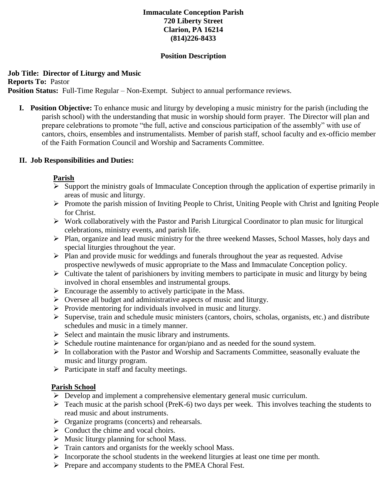# **Immaculate Conception Parish 720 Liberty Street Clarion, PA 16214 (814)226-8433**

#### **Position Description**

# **Job Title: Director of Liturgy and Music**

**Reports To:** Pastor

**Position Status:** Full-Time Regular – Non-Exempt. Subject to annual performance reviews.

**I. Position Objective:** To enhance music and liturgy by developing a music ministry for the parish (including the parish school) with the understanding that music in worship should form prayer. The Director will plan and prepare celebrations to promote "the full, active and conscious participation of the assembly" with use of cantors, choirs, ensembles and instrumentalists. Member of parish staff, school faculty and ex-officio member of the Faith Formation Council and Worship and Sacraments Committee.

#### **II. Job Responsibilities and Duties:**

### **Parish**

- $\triangleright$  Support the ministry goals of Immaculate Conception through the application of expertise primarily in areas of music and liturgy.
- $\triangleright$  Promote the parish mission of Inviting People to Christ, Uniting People with Christ and Igniting People for Christ.
- $\triangleright$  Work collaboratively with the Pastor and Parish Liturgical Coordinator to plan music for liturgical celebrations, ministry events, and parish life.
- Plan, organize and lead music ministry for the three weekend Masses, School Masses, holy days and special liturgies throughout the year.
- $\triangleright$  Plan and provide music for weddings and funerals throughout the year as requested. Advise prospective newlyweds of music appropriate to the Mass and Immaculate Conception policy.
- $\triangleright$  Cultivate the talent of parishioners by inviting members to participate in music and liturgy by being involved in choral ensembles and instrumental groups.
- $\triangleright$  Encourage the assembly to actively participate in the Mass.
- $\triangleright$  Oversee all budget and administrative aspects of music and liturgy.
- $\triangleright$  Provide mentoring for individuals involved in music and liturgy.
- $\triangleright$  Supervise, train and schedule music ministers (cantors, choirs, scholas, organists, etc.) and distribute schedules and music in a timely manner.
- $\triangleright$  Select and maintain the music library and instruments.
- $\triangleright$  Schedule routine maintenance for organ/piano and as needed for the sound system.
- $\triangleright$  In collaboration with the Pastor and Worship and Sacraments Committee, seasonally evaluate the music and liturgy program.
- $\triangleright$  Participate in staff and faculty meetings.

#### **Parish School**

- $\triangleright$  Develop and implement a comprehensive elementary general music curriculum.
- $\triangleright$  Teach music at the parish school (PreK-6) two days per week. This involves teaching the students to read music and about instruments.
- $\triangleright$  Organize programs (concerts) and rehearsals.
- $\triangleright$  Conduct the chime and vocal choirs.
- $\triangleright$  Music liturgy planning for school Mass.
- $\triangleright$  Train cantors and organists for the weekly school Mass.
- $\triangleright$  Incorporate the school students in the weekend liturgies at least one time per month.
- Prepare and accompany students to the PMEA Choral Fest.